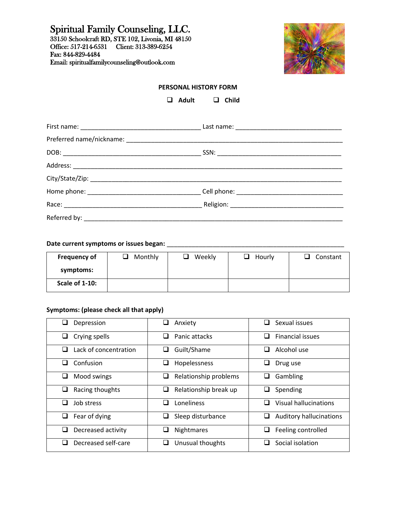Spiritual Family Counseling, LLC. 33150 Schoolcraft RD, STE 102, Livonia, MI 48150 Office: 517-214-6531 Client: 313-389-6254 Fax: 844-829-4484 Email: spiritualfamilycounseling@outlook.com



### **PERSONAL HISTORY FORM**

❑ **Adult** ❑ **Child**

#### **Date current symptoms or issues began:** \_\_\_\_\_\_\_\_\_\_\_\_\_\_\_\_\_\_\_\_\_\_\_\_\_\_\_\_\_\_\_\_\_\_\_\_\_\_\_\_\_\_\_\_\_\_\_\_\_\_

| <b>Frequency of</b> | Monthly<br>$\overline{\phantom{a}}$ | Weekly<br>$\overline{\phantom{a}}$ | Hourly<br>$\overline{\phantom{a}}$ | Constant |
|---------------------|-------------------------------------|------------------------------------|------------------------------------|----------|
| symptoms:           |                                     |                                    |                                    |          |
| Scale of 1-10:      |                                     |                                    |                                    |          |

### **Symptoms: (please check all that apply)**

| Depression<br>⊔                        | Anxiety<br>⊔                                    | Sexual issues<br>ப             |
|----------------------------------------|-------------------------------------------------|--------------------------------|
| Crying spells<br>⊔                     | Panic attacks<br>⊔                              | <b>Financial issues</b><br>ப   |
| Lack of concentration                  | Guilt/Shame<br>ப                                | Alcohol use                    |
| Confusion<br>ப                         | Hopelessness<br>⊔                               | Drug use                       |
| Mood swings<br>⊔                       | Relationship problems<br>⊔                      | Gambling<br>⊔                  |
| Racing thoughts<br>⊔                   | Relationship break up<br>⊔                      | Spending<br>⊔                  |
| Job stress<br>$\overline{\phantom{a}}$ | Loneliness<br>$\sim$                            | <b>Visual hallucinations</b>   |
| Fear of dying<br>⊔                     | Sleep disturbance<br>⊔                          | <b>Auditory hallucinations</b> |
| Decreased activity<br>ப                | Nightmares                                      | Feeling controlled             |
| Decreased self-care                    | Unusual thoughts<br>$\mathcal{L}_{\mathcal{A}}$ | Social isolation               |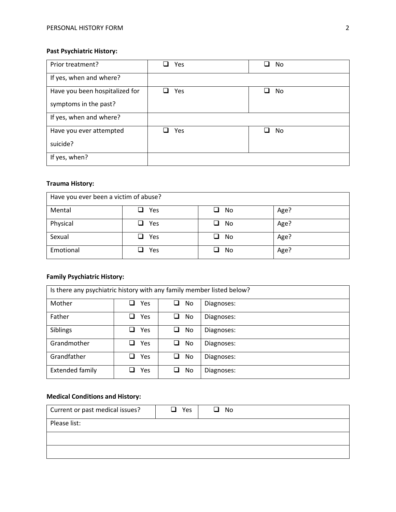# **Past Psychiatric History:**

| Prior treatment?               | Yes<br>$\overline{\phantom{a}}$ | No  |
|--------------------------------|---------------------------------|-----|
| If yes, when and where?        |                                 |     |
| Have you been hospitalized for | Yes<br>$\sqcup$                 | No  |
| symptoms in the past?          |                                 |     |
| If yes, when and where?        |                                 |     |
| Have you ever attempted        | Yes                             | No. |
| suicide?                       |                                 |     |
| If yes, when?                  |                                 |     |

## **Trauma History:**

| Have you ever been a victim of abuse? |               |         |      |
|---------------------------------------|---------------|---------|------|
| Mental                                | Yes<br>ப      | No<br>ப | Age? |
| Physical                              | Yes<br>┚      | No      | Age? |
| Sexual                                | $\square$ Yes | No<br>┚ | Age? |
| Emotional                             | Yes           | No      | Age? |

## **Family Psychiatric History:**

| Is there any psychiatric history with any family member listed below? |     |          |            |
|-----------------------------------------------------------------------|-----|----------|------------|
| Mother                                                                | Yes | No.      | Diagnoses: |
| Father                                                                | Yes | ❏<br>No  | Diagnoses: |
| Siblings                                                              | Yes | No.<br>ப | Diagnoses: |
| Grandmother                                                           | Yes | ◻<br>No. | Diagnoses: |
| Grandfather                                                           | Yes | No.      | Diagnoses: |
| <b>Extended family</b>                                                | Yes | No.      | Diagnoses: |

# **Medical Conditions and History:**

| Current or past medical issues? | Yes<br>⊔ | No<br>ப |  |
|---------------------------------|----------|---------|--|
| Please list:                    |          |         |  |
|                                 |          |         |  |
|                                 |          |         |  |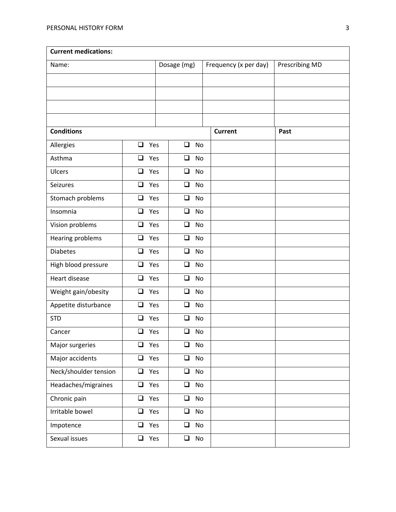| <b>Current medications:</b> |               |             |               |                       |                |
|-----------------------------|---------------|-------------|---------------|-----------------------|----------------|
| Name:                       |               | Dosage (mg) |               | Frequency (x per day) | Prescribing MD |
|                             |               |             |               |                       |                |
|                             |               |             |               |                       |                |
|                             |               |             |               |                       |                |
|                             |               |             |               |                       |                |
| <b>Conditions</b>           |               |             |               | <b>Current</b>        | Past           |
| Allergies                   | $\Box$<br>Yes | $\Box$      | <b>No</b>     |                       |                |
| Asthma                      | $\Box$<br>Yes | $\Box$      | No            |                       |                |
| Ulcers                      | Yes<br>$\Box$ | $\Box$      | <b>No</b>     |                       |                |
| <b>Seizures</b>             | Yes<br>$\Box$ | $\Box$      | No            |                       |                |
| Stomach problems            | $\Box$<br>Yes | $\Box$      | No            |                       |                |
| Insomnia                    | $\Box$<br>Yes | $\Box$      | <b>No</b>     |                       |                |
| Vision problems             | $\Box$<br>Yes | $\Box$      | No            |                       |                |
| Hearing problems            | Yes<br>❏      | ❏           | No            |                       |                |
| <b>Diabetes</b>             | $\Box$<br>Yes | $\Box$      | <b>No</b>     |                       |                |
| High blood pressure         | $\Box$<br>Yes | $\Box$      | No            |                       |                |
| Heart disease               | $\Box$<br>Yes | $\Box$      | <b>No</b>     |                       |                |
| Weight gain/obesity         | $\Box$<br>Yes | ❏           | No            |                       |                |
| Appetite disturbance        | $\Box$<br>Yes | $\Box$      | No            |                       |                |
| <b>STD</b>                  | $\Box$<br>Yes | $\Box$      | <b>No</b>     |                       |                |
| Cancer                      | $\Box$ Yes    | $\Box$      | No            |                       |                |
| Major surgeries             | $\Box$<br>Yes | $\Box$      | No            |                       |                |
| Major accidents             | Yes<br>$\Box$ | $\Box$      | No            |                       |                |
| Neck/shoulder tension       | $\Box$<br>Yes | $\Box$      | No            |                       |                |
| Headaches/migraines         | $\Box$<br>Yes | $\Box$      | No            |                       |                |
| Chronic pain                | Yes<br>$\Box$ | $\Box$      | No            |                       |                |
| Irritable bowel             | Yes<br>$\Box$ | $\Box$      | No            |                       |                |
| Impotence                   | $\Box$ Yes    | $\Box$      | No            |                       |                |
| Sexual issues               | Yes<br>$\Box$ | $\Box$      | $\mathsf{No}$ |                       |                |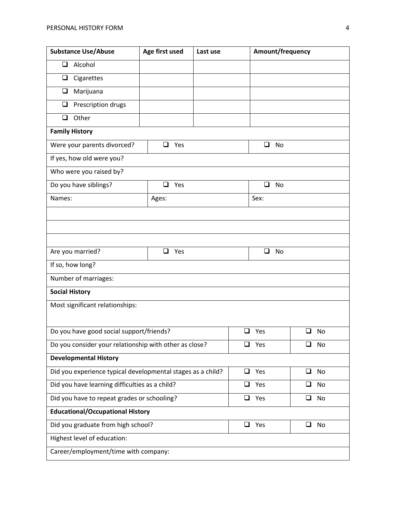| <b>Substance Use/Abuse</b>                                   | Age first used<br>Last use |               | Amount/frequency |                |  |
|--------------------------------------------------------------|----------------------------|---------------|------------------|----------------|--|
| $\Box$<br>Alcohol                                            |                            |               |                  |                |  |
| Cigarettes<br>❏                                              |                            |               |                  |                |  |
| Marijuana<br>❏                                               |                            |               |                  |                |  |
| Prescription drugs<br>❏                                      |                            |               |                  |                |  |
| Other<br>❏                                                   |                            |               |                  |                |  |
| <b>Family History</b>                                        |                            |               |                  |                |  |
| Were your parents divorced?                                  | $\Box$ Yes                 |               | ❏<br>No          |                |  |
| If yes, how old were you?                                    |                            |               |                  |                |  |
| Who were you raised by?                                      |                            |               |                  |                |  |
| Do you have siblings?                                        | ❏<br>Yes                   |               | ❏<br>No          |                |  |
| Names:                                                       | Ages:                      |               | Sex:             |                |  |
|                                                              |                            |               |                  |                |  |
|                                                              |                            |               |                  |                |  |
|                                                              |                            |               |                  |                |  |
| Are you married?                                             | Yes<br>❏                   |               | ❏<br>No          |                |  |
| If so, how long?                                             |                            |               |                  |                |  |
| Number of marriages:                                         |                            |               |                  |                |  |
| <b>Social History</b>                                        |                            |               |                  |                |  |
| Most significant relationships:                              |                            |               |                  |                |  |
|                                                              |                            |               |                  |                |  |
| Do you have good social support/friends?                     |                            |               | $\Box$ Yes       | ❏<br><b>No</b> |  |
| Do you consider your relationship with other as close?       |                            |               | ❏<br>Yes         | No<br>ப        |  |
| <b>Developmental History</b>                                 |                            |               |                  |                |  |
| Did you experience typical developmental stages as a child?  |                            | $\Box$<br>Yes | $\Box$<br>No     |                |  |
| Did you have learning difficulties as a child?               |                            |               | ❏<br>Yes         | $\Box$<br>No   |  |
| Did you have to repeat grades or schooling?<br>$\Box$<br>Yes |                            |               | $\Box$<br>No     |                |  |
| <b>Educational/Occupational History</b>                      |                            |               |                  |                |  |
| Did you graduate from high school?                           |                            |               | $\Box$<br>Yes    | $\Box$<br>No   |  |
| Highest level of education:                                  |                            |               |                  |                |  |
| Career/employment/time with company:                         |                            |               |                  |                |  |